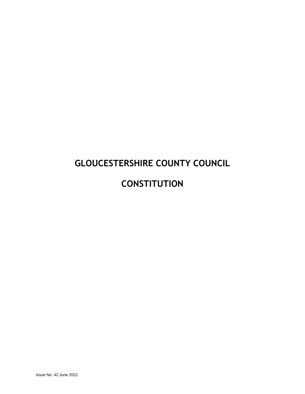# **GLOUCESTERSHIRE COUNTY COUNCIL**

# **CONSTITUTION**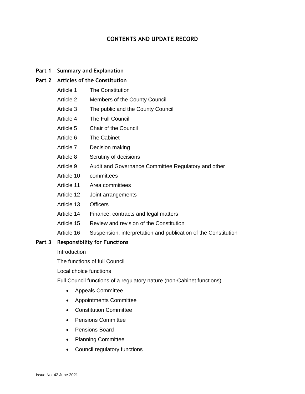# **CONTENTS AND UPDATE RECORD**

#### **Part 1 Summary and Explanation**

#### **Part 2 Articles of the Constitution**

- Article 1 The Constitution
- Article 2 Members of the County Council
- Article 3 The public and the County Council
- Article 4 The Full Council
- Article 5 Chair of the Council
- Article 6 The Cabinet
- Article 7 Decision making
- Article 8 Scrutiny of decisions
- Article 9 Audit and Governance Committee Regulatory and other
- Article 10 committees
- Article 11 Area committees
- Article 12 Joint arrangements
- Article 13 Officers
- Article 14 Finance, contracts and legal matters
- Article 15 Review and revision of the Constitution
- Article 16 Suspension, interpretation and publication of the Constitution

#### **Part 3 Responsibility for Functions**

Introduction

The functions of full Council

Local choice functions

Full Council functions of a regulatory nature (non-Cabinet functions)

- Appeals Committee
- Appointments Committee
- Constitution Committee
- Pensions Committee
- Pensions Board
- Planning Committee
- Council regulatory functions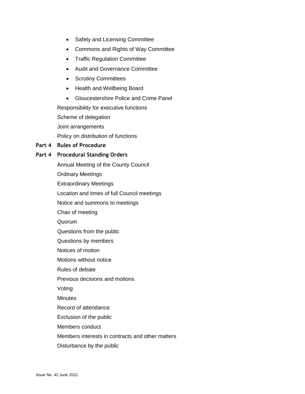- Safety and Licensing Committee
- Commons and Rights of Way Committee
- Traffic Regulation Committee
- Audit and Governance Committee
- Scrutiny Committees
- Health and Wellbeing Board
- Gloucestershire Police and Crime Panel

Responsibility for executive functions

Scheme of delegation

Joint arrangements

Policy on distribution of functions

#### **Part 4 Rules of Procedure**

#### **Part 4 Procedural Standing Orders**

Annual Meeting of the County Council

Ordinary Meetings

Extraordinary Meetings

Location and times of full Council meetings

Notice and summons to meetings

Chair of meeting

Quorum

Questions from the public

Questions by members

Notices of motion

Motions without notice

Rules of debate

Previous decisions and motions

Voting

**Minutes** 

Record of attendance

Exclusion of the public

Members conduct

Members interests in contracts and other matters

Disturbance by the public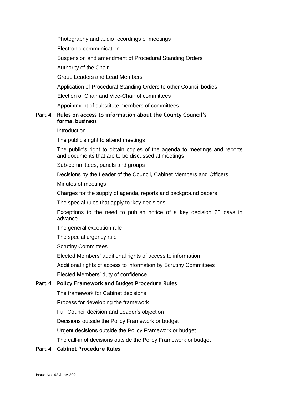Photography and audio recordings of meetings

Electronic communication

Suspension and amendment of Procedural Standing Orders

Authority of the Chair

Group Leaders and Lead Members

Application of Procedural Standing Orders to other Council bodies

Election of Chair and Vice-Chair of committees

Appointment of substitute members of committees

## **Part 4 Rules on access to information about the County Council's formal business**

**Introduction** 

The public's right to attend meetings

The public's right to obtain copies of the agenda to meetings and reports and documents that are to be discussed at meetings

Sub-committees, panels and groups

Decisions by the Leader of the Council, Cabinet Members and Officers

Minutes of meetings

Charges for the supply of agenda, reports and background papers

The special rules that apply to 'key decisions'

Exceptions to the need to publish notice of a key decision 28 days in advance

The general exception rule

The special urgency rule

Scrutiny Committees

Elected Members' additional rights of access to information

Additional rights of access to information by Scrutiny Committees

Elected Members' duty of confidence

#### **Part 4 Policy Framework and Budget Procedure Rules**

The framework for Cabinet decisions

Process for developing the framework

Full Council decision and Leader's objection

Decisions outside the Policy Framework or budget

Urgent decisions outside the Policy Framework or budget

The call-in of decisions outside the Policy Framework or budget

#### **Part 4 Cabinet Procedure Rules**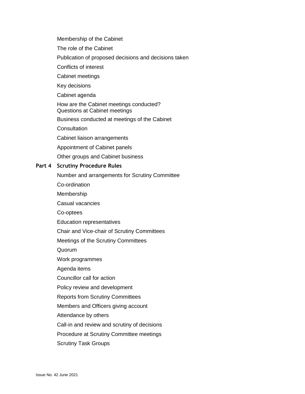Membership of the Cabinet

The role of the Cabinet

Publication of proposed decisions and decisions taken

Conflicts of interest

Cabinet meetings

Key decisions

Cabinet agenda

How are the Cabinet meetings conducted? Questions at Cabinet meetings

Business conducted at meetings of the Cabinet

**Consultation** 

Cabinet liaison arrangements

Appointment of Cabinet panels

Other groups and Cabinet business

#### **Part 4 Scrutiny Procedure Rules**

Number and arrangements for Scrutiny Committee

Co-ordination

Membership

Casual vacancies

Co-optees

Education representatives

Chair and Vice-chair of Scrutiny Committees

Meetings of the Scrutiny Committees

Quorum

Work programmes

Agenda items

Councillor call for action

Policy review and development

Reports from Scrutiny Committees

Members and Officers giving account

Attendance by others

Call-in and review and scrutiny of decisions

Procedure at Scrutiny Committee meetings

Scrutiny Task Groups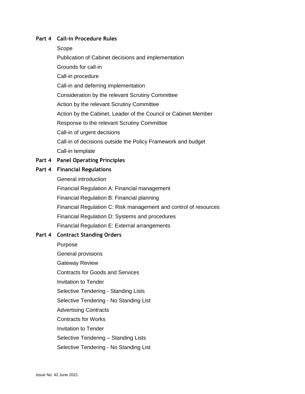#### **Part 4 Call-in Procedure Rules**

#### Scope

Publication of Cabinet decisions and implementation

Grounds for call-in

Call-in procedure

Call-in and deferring implementation

Consideration by the relevant Scrutiny Committee

Action by the relevant Scrutiny Committee

Action by the Cabinet, Leader of the Council or Cabinet Member

Response to the relevant Scrutiny Committee

Call-in of urgent decisions

Call-in of decisions outside the Policy Framework and budget Call-in template

### **Part 4 Panel Operating Principles**

#### **Part 4 Financial Regulations**

General introduction

Financial Regulation A: Financial management

Financial Regulation B: Financial planning

Financial Regulation C: Risk management and control of resources

Financial Regulation D: Systems and procedures

Financial Regulation E: External arrangements

# **Part 4 Contract Standing Orders**

Purpose

General provisions

Gateway Review

Contracts for Goods and Services

Invitation to Tender

Selective Tendering - Standing Lists

Selective Tendering - No Standing List

Advertising Contracts

Contracts for Works

Invitation to Tender

Selective Tendering – Standing Lists

Selective Tendering - No Standing List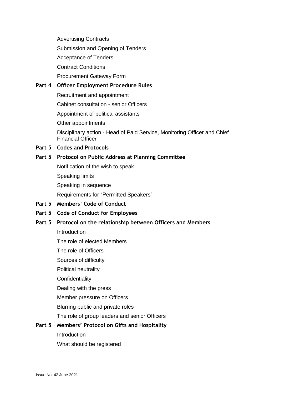Advertising Contracts Submission and Opening of Tenders Acceptance of Tenders Contract Conditions Procurement Gateway Form

# **Part 4 Officer Employment Procedure Rules**

Recruitment and appointment

Cabinet consultation - senior Officers

Appointment of political assistants

Other appointments

Disciplinary action - Head of Paid Service, Monitoring Officer and Chief Financial Officer

**Part 5 Codes and Protocols** 

### **Part 5 Protocol on Public Address at Planning Committee**

Notification of the wish to speak

Speaking limits

Speaking in sequence

Requirements for "Permitted Speakers"

- **Part 5 Members' Code of Conduct**
- **Part 5 Code of Conduct for Employees**

#### **Part 5 Protocol on the relationship between Officers and Members**

**Introduction** 

The role of elected Members

- The role of Officers
- Sources of difficulty
- Political neutrality

**Confidentiality** 

Dealing with the press

Member pressure on Officers

Blurring public and private roles

The role of group leaders and senior Officers

# **Part 5 Members' Protocol on Gifts and Hospitality**

**Introduction** 

What should be registered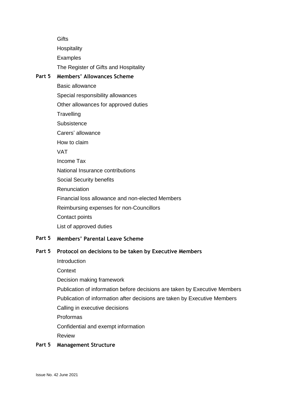**Gifts Hospitality Examples** The Register of Gifts and Hospitality

# **Part 5 Members' Allowances Scheme**

- Basic allowance
- Special responsibility allowances
- Other allowances for approved duties
- **Travelling**
- **Subsistence**
- Carers' allowance
- How to claim
- VAT
- Income Tax
- National Insurance contributions
- Social Security benefits
- **Renunciation**
- Financial loss allowance and non-elected Members
- Reimbursing expenses for non-Councillors
- Contact points
- List of approved duties

#### **Part 5 Members' Parental Leave Scheme**

#### **Part 5 Protocol on decisions to be taken by Executive Members**

- **Introduction**
- **Context**
- Decision making framework
- Publication of information before decisions are taken by Executive Members
- Publication of information after decisions are taken by Executive Members
- Calling in executive decisions
- Proformas
- Confidential and exempt information
- Review

#### **Part 5 Management Structure**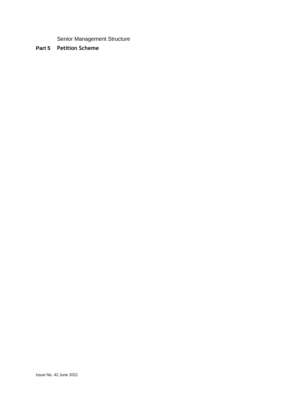Senior Management Structure

# **Part 5 Petition Scheme**